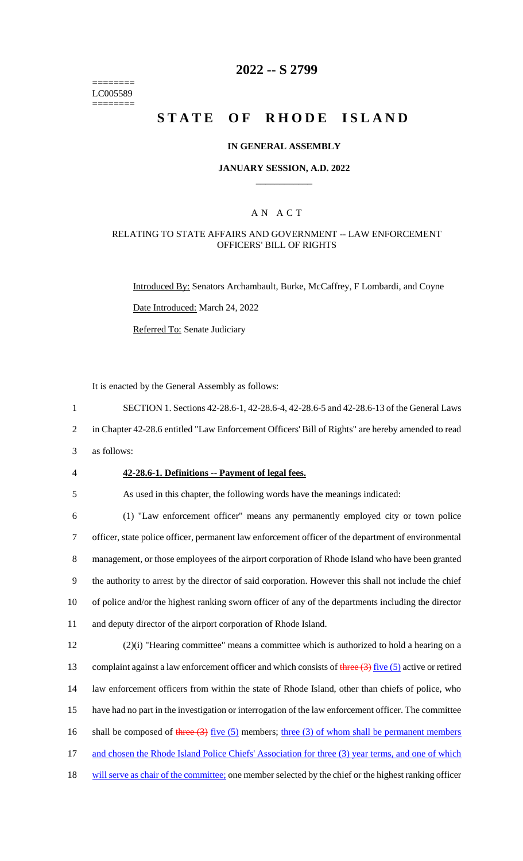======== LC005589 ========

## **2022 -- S 2799**

## **STATE OF RHODE ISLAND**

#### **IN GENERAL ASSEMBLY**

## **JANUARY SESSION, A.D. 2022 \_\_\_\_\_\_\_\_\_\_\_\_**

## A N A C T

## RELATING TO STATE AFFAIRS AND GOVERNMENT -- LAW ENFORCEMENT OFFICERS' BILL OF RIGHTS

Introduced By: Senators Archambault, Burke, McCaffrey, F Lombardi, and Coyne

Date Introduced: March 24, 2022

Referred To: Senate Judiciary

It is enacted by the General Assembly as follows:

1 SECTION 1. Sections 42-28.6-1, 42-28.6-4, 42-28.6-5 and 42-28.6-13 of the General Laws

2 in Chapter 42-28.6 entitled "Law Enforcement Officers' Bill of Rights" are hereby amended to read

- 3 as follows:
- 

#### 4 **42-28.6-1. Definitions -- Payment of legal fees.**

5 As used in this chapter, the following words have the meanings indicated:

 (1) "Law enforcement officer" means any permanently employed city or town police officer, state police officer, permanent law enforcement officer of the department of environmental management, or those employees of the airport corporation of Rhode Island who have been granted the authority to arrest by the director of said corporation. However this shall not include the chief of police and/or the highest ranking sworn officer of any of the departments including the director and deputy director of the airport corporation of Rhode Island.

12 (2)(i) "Hearing committee" means a committee which is authorized to hold a hearing on a 13 complaint against a law enforcement officer and which consists of  $\frac{f_1}{f_2}$  (5) active or retired 14 law enforcement officers from within the state of Rhode Island, other than chiefs of police, who 15 have had no part in the investigation or interrogation of the law enforcement officer. The committee 16 shall be composed of three  $(3)$  five  $(5)$  members; three  $(3)$  of whom shall be permanent members 17 and chosen the Rhode Island Police Chiefs' Association for three (3) year terms, and one of which 18 will serve as chair of the committee; one member selected by the chief or the highest ranking officer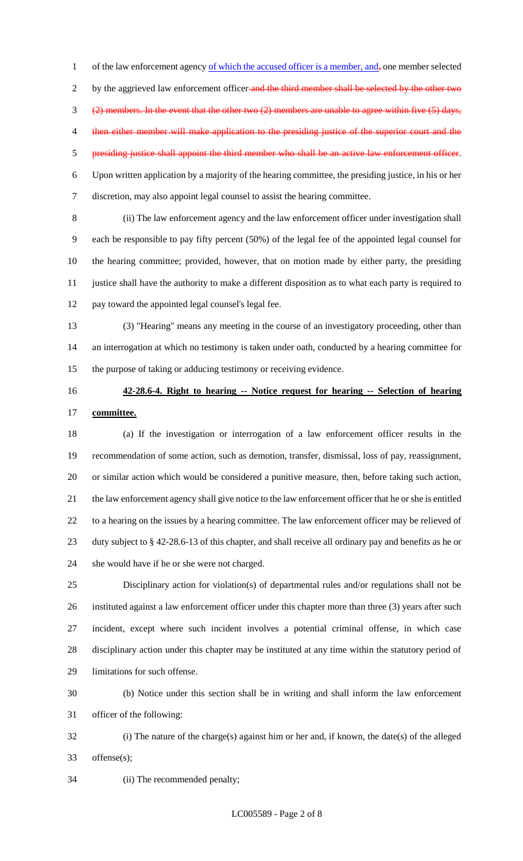1 of the law enforcement agency of which the accused officer is a member, and, one member selected 2 by the aggrieved law enforcement officer and the third member shall be selected by the other two (2) members. In the event that the other two (2) members are unable to agree within five (5) days, 4 then either member will make application to the presiding justice of the superior court and the presiding justice shall appoint the third member who shall be an active law enforcement officer. Upon written application by a majority of the hearing committee, the presiding justice, in his or her discretion, may also appoint legal counsel to assist the hearing committee. (ii) The law enforcement agency and the law enforcement officer under investigation shall each be responsible to pay fifty percent (50%) of the legal fee of the appointed legal counsel for

 the hearing committee; provided, however, that on motion made by either party, the presiding justice shall have the authority to make a different disposition as to what each party is required to 12 pay toward the appointed legal counsel's legal fee.

 (3) "Hearing" means any meeting in the course of an investigatory proceeding, other than an interrogation at which no testimony is taken under oath, conducted by a hearing committee for the purpose of taking or adducing testimony or receiving evidence.

# **42-28.6-4. Right to hearing -- Notice request for hearing -- Selection of hearing committee.**

 (a) If the investigation or interrogation of a law enforcement officer results in the recommendation of some action, such as demotion, transfer, dismissal, loss of pay, reassignment, or similar action which would be considered a punitive measure, then, before taking such action, the law enforcement agency shall give notice to the law enforcement officer that he or she is entitled to a hearing on the issues by a hearing committee. The law enforcement officer may be relieved of duty subject to § 42-28.6-13 of this chapter, and shall receive all ordinary pay and benefits as he or she would have if he or she were not charged.

 Disciplinary action for violation(s) of departmental rules and/or regulations shall not be instituted against a law enforcement officer under this chapter more than three (3) years after such incident, except where such incident involves a potential criminal offense, in which case disciplinary action under this chapter may be instituted at any time within the statutory period of limitations for such offense.

 (b) Notice under this section shall be in writing and shall inform the law enforcement officer of the following:

 (i) The nature of the charge(s) against him or her and, if known, the date(s) of the alleged offense(s);

(ii) The recommended penalty;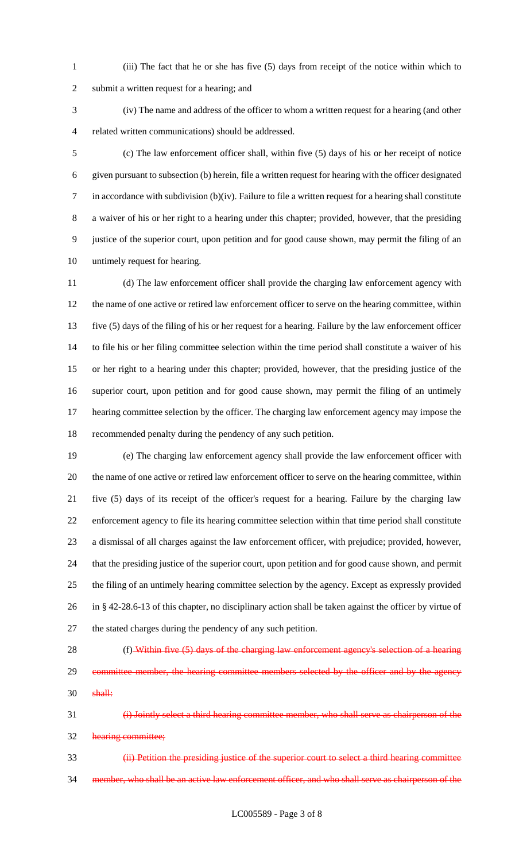- (iii) The fact that he or she has five (5) days from receipt of the notice within which to submit a written request for a hearing; and
- (iv) The name and address of the officer to whom a written request for a hearing (and other related written communications) should be addressed.
- (c) The law enforcement officer shall, within five (5) days of his or her receipt of notice given pursuant to subsection (b) herein, file a written request for hearing with the officer designated in accordance with subdivision (b)(iv). Failure to file a written request for a hearing shall constitute a waiver of his or her right to a hearing under this chapter; provided, however, that the presiding justice of the superior court, upon petition and for good cause shown, may permit the filing of an untimely request for hearing.

 (d) The law enforcement officer shall provide the charging law enforcement agency with the name of one active or retired law enforcement officer to serve on the hearing committee, within five (5) days of the filing of his or her request for a hearing. Failure by the law enforcement officer to file his or her filing committee selection within the time period shall constitute a waiver of his or her right to a hearing under this chapter; provided, however, that the presiding justice of the superior court, upon petition and for good cause shown, may permit the filing of an untimely hearing committee selection by the officer. The charging law enforcement agency may impose the recommended penalty during the pendency of any such petition.

 (e) The charging law enforcement agency shall provide the law enforcement officer with the name of one active or retired law enforcement officer to serve on the hearing committee, within five (5) days of its receipt of the officer's request for a hearing. Failure by the charging law enforcement agency to file its hearing committee selection within that time period shall constitute a dismissal of all charges against the law enforcement officer, with prejudice; provided, however, that the presiding justice of the superior court, upon petition and for good cause shown, and permit the filing of an untimely hearing committee selection by the agency. Except as expressly provided in § 42-28.6-13 of this chapter, no disciplinary action shall be taken against the officer by virtue of the stated charges during the pendency of any such petition.

- 28 (f) Within five (5) days of the charging law enforcement agency's selection of a hearing 29 committee member, the hearing committee members selected by the officer and by the agency shall:
- (i) Jointly select a third hearing committee member, who shall serve as chairperson of the hearing committee;
- (ii) Petition the presiding justice of the superior court to select a third hearing committee member, who shall be an active law enforcement officer, and who shall serve as chairperson of the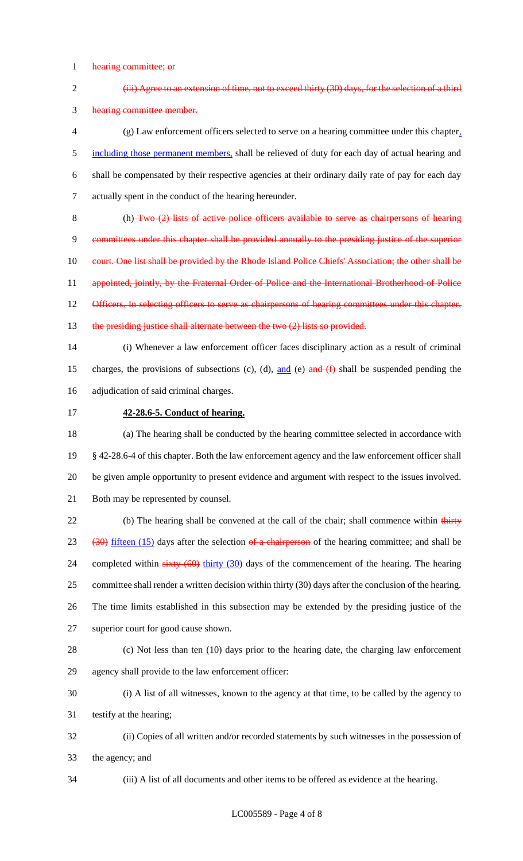hearing committee; or

 (iii) Agree to an extension of time, not to exceed thirty (30) days, for the selection of a third hearing committee member. (g) Law enforcement officers selected to serve on a hearing committee under this chapter,

5 including those permanent members, shall be relieved of duty for each day of actual hearing and shall be compensated by their respective agencies at their ordinary daily rate of pay for each day actually spent in the conduct of the hearing hereunder.

 (h) Two (2) lists of active police officers available to serve as chairpersons of hearing committees under this chapter shall be provided annually to the presiding justice of the superior 10 court. One list shall be provided by the Rhode Island Police Chiefs' Association; the other shall be 11 appointed, jointly, by the Fraternal Order of Police and the International Brotherhood of Police Officers. In selecting officers to serve as chairpersons of hearing committees under this chapter, 13 the presiding justice shall alternate between the two (2) lists so provided.

 (i) Whenever a law enforcement officer faces disciplinary action as a result of criminal 15 charges, the provisions of subsections (c), (d), and (e) and  $(f)$  shall be suspended pending the adjudication of said criminal charges.

#### **42-28.6-5. Conduct of hearing.**

 (a) The hearing shall be conducted by the hearing committee selected in accordance with § 42-28.6-4 of this chapter. Both the law enforcement agency and the law enforcement officer shall be given ample opportunity to present evidence and argument with respect to the issues involved. Both may be represented by counsel.

22 (b) The hearing shall be convened at the call of the chair; shall commence within thirty  $23 \left( \frac{30}{20} \right)$  fifteen (15) days after the selection of a chairperson of the hearing committee; and shall be 24 completed within sixty (60) thirty (30) days of the commencement of the hearing. The hearing committee shall render a written decision within thirty (30) days after the conclusion of the hearing. The time limits established in this subsection may be extended by the presiding justice of the superior court for good cause shown.

- 
- 
- (c) Not less than ten (10) days prior to the hearing date, the charging law enforcement agency shall provide to the law enforcement officer:
- (i) A list of all witnesses, known to the agency at that time, to be called by the agency to
- testify at the hearing;
- (ii) Copies of all written and/or recorded statements by such witnesses in the possession of the agency; and

(iii) A list of all documents and other items to be offered as evidence at the hearing.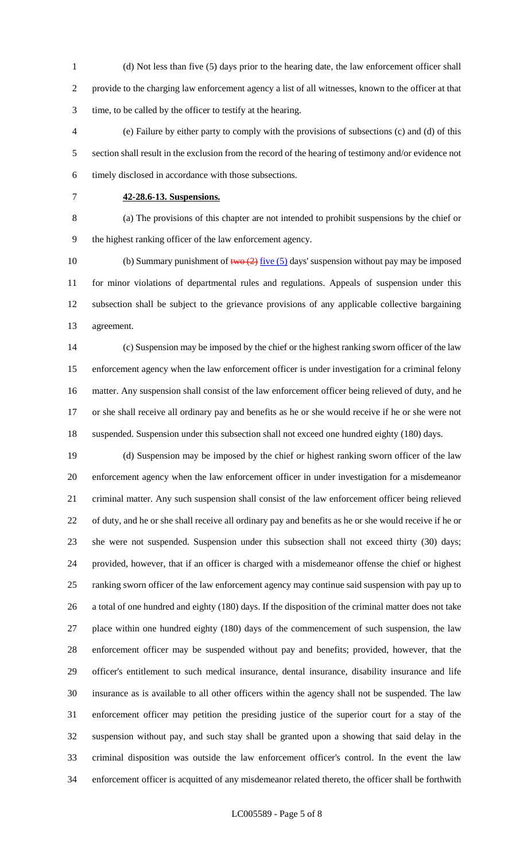(d) Not less than five (5) days prior to the hearing date, the law enforcement officer shall provide to the charging law enforcement agency a list of all witnesses, known to the officer at that time, to be called by the officer to testify at the hearing.

 (e) Failure by either party to comply with the provisions of subsections (c) and (d) of this section shall result in the exclusion from the record of the hearing of testimony and/or evidence not timely disclosed in accordance with those subsections.

#### **42-28.6-13. Suspensions.**

 (a) The provisions of this chapter are not intended to prohibit suspensions by the chief or the highest ranking officer of the law enforcement agency.

10 (b) Summary punishment of  $\frac{1}{2}$  five (5) days' suspension without pay may be imposed for minor violations of departmental rules and regulations. Appeals of suspension under this subsection shall be subject to the grievance provisions of any applicable collective bargaining agreement.

 (c) Suspension may be imposed by the chief or the highest ranking sworn officer of the law enforcement agency when the law enforcement officer is under investigation for a criminal felony matter. Any suspension shall consist of the law enforcement officer being relieved of duty, and he or she shall receive all ordinary pay and benefits as he or she would receive if he or she were not suspended. Suspension under this subsection shall not exceed one hundred eighty (180) days.

 (d) Suspension may be imposed by the chief or highest ranking sworn officer of the law enforcement agency when the law enforcement officer in under investigation for a misdemeanor criminal matter. Any such suspension shall consist of the law enforcement officer being relieved of duty, and he or she shall receive all ordinary pay and benefits as he or she would receive if he or she were not suspended. Suspension under this subsection shall not exceed thirty (30) days; provided, however, that if an officer is charged with a misdemeanor offense the chief or highest ranking sworn officer of the law enforcement agency may continue said suspension with pay up to a total of one hundred and eighty (180) days. If the disposition of the criminal matter does not take place within one hundred eighty (180) days of the commencement of such suspension, the law enforcement officer may be suspended without pay and benefits; provided, however, that the officer's entitlement to such medical insurance, dental insurance, disability insurance and life insurance as is available to all other officers within the agency shall not be suspended. The law enforcement officer may petition the presiding justice of the superior court for a stay of the suspension without pay, and such stay shall be granted upon a showing that said delay in the criminal disposition was outside the law enforcement officer's control. In the event the law enforcement officer is acquitted of any misdemeanor related thereto, the officer shall be forthwith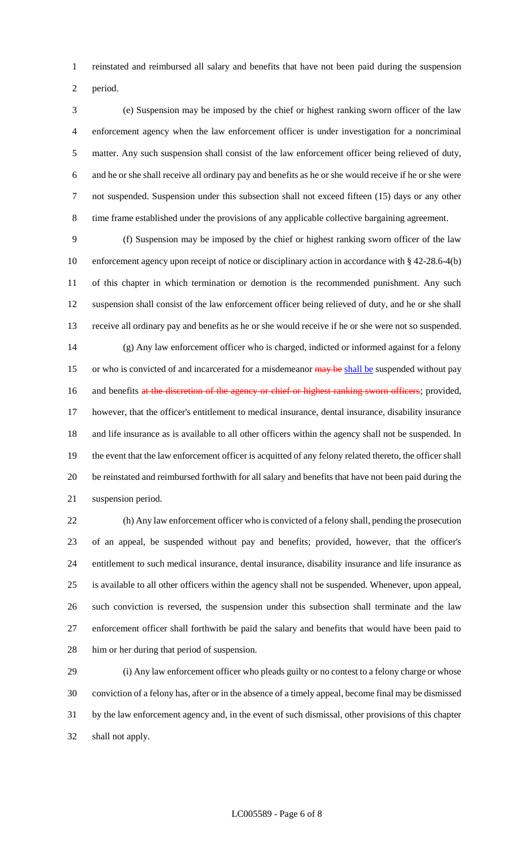reinstated and reimbursed all salary and benefits that have not been paid during the suspension

period.

 (e) Suspension may be imposed by the chief or highest ranking sworn officer of the law enforcement agency when the law enforcement officer is under investigation for a noncriminal matter. Any such suspension shall consist of the law enforcement officer being relieved of duty, and he or she shall receive all ordinary pay and benefits as he or she would receive if he or she were not suspended. Suspension under this subsection shall not exceed fifteen (15) days or any other time frame established under the provisions of any applicable collective bargaining agreement.

 (f) Suspension may be imposed by the chief or highest ranking sworn officer of the law 10 enforcement agency upon receipt of notice or disciplinary action in accordance with § 42-28.6-4(b) of this chapter in which termination or demotion is the recommended punishment. Any such suspension shall consist of the law enforcement officer being relieved of duty, and he or she shall receive all ordinary pay and benefits as he or she would receive if he or she were not so suspended. (g) Any law enforcement officer who is charged, indicted or informed against for a felony 15 or who is convicted of and incarcerated for a misdemeanor may be shall be suspended without pay 16 and benefits at the discretion of the agency or chief or highest ranking sworn officers; provided, however, that the officer's entitlement to medical insurance, dental insurance, disability insurance and life insurance as is available to all other officers within the agency shall not be suspended. In the event that the law enforcement officer is acquitted of any felony related thereto, the officer shall be reinstated and reimbursed forthwith for all salary and benefits that have not been paid during the suspension period.

 (h) Any law enforcement officer who is convicted of a felony shall, pending the prosecution of an appeal, be suspended without pay and benefits; provided, however, that the officer's entitlement to such medical insurance, dental insurance, disability insurance and life insurance as is available to all other officers within the agency shall not be suspended. Whenever, upon appeal, such conviction is reversed, the suspension under this subsection shall terminate and the law enforcement officer shall forthwith be paid the salary and benefits that would have been paid to him or her during that period of suspension.

 (i) Any law enforcement officer who pleads guilty or no contest to a felony charge or whose conviction of a felony has, after or in the absence of a timely appeal, become final may be dismissed by the law enforcement agency and, in the event of such dismissal, other provisions of this chapter shall not apply.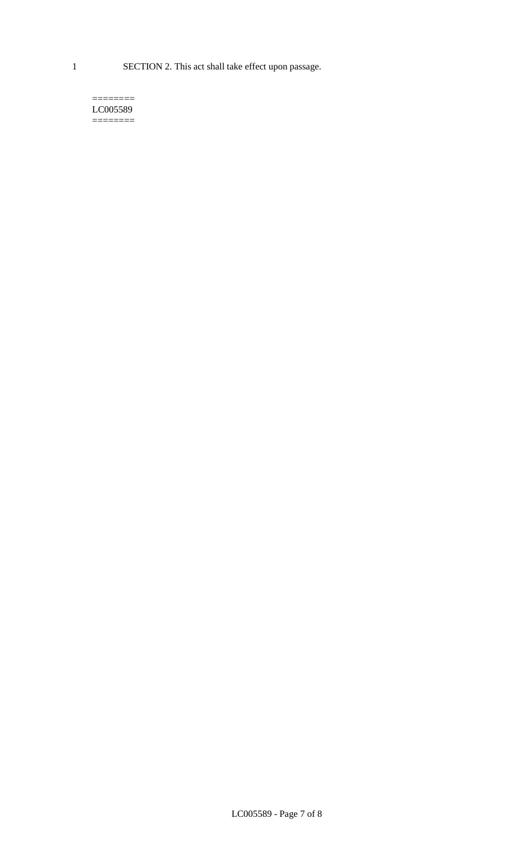1 SECTION 2. This act shall take effect upon passage.

#### $=$ LC005589 ========